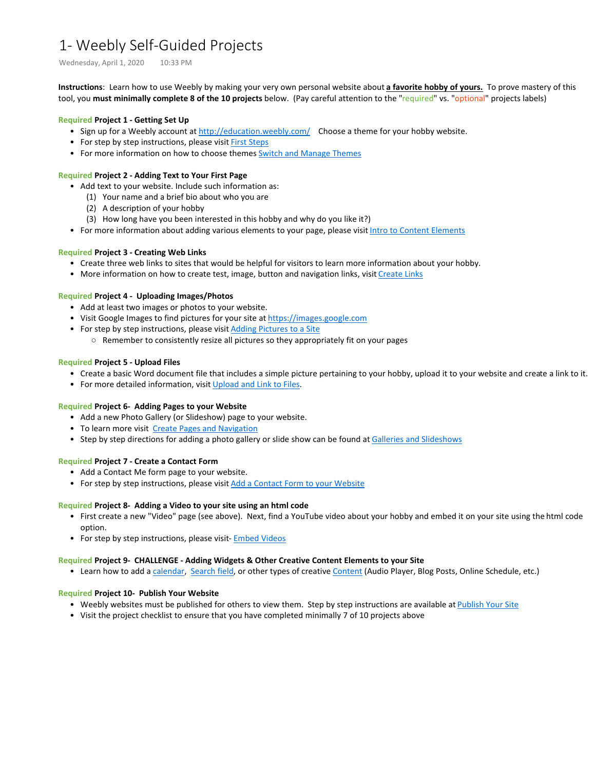## 1- Weebly Self-Guided Projects

Wednesday, April 1, 2020 10:33 PM

**Instructions**: Learn how to use Weebly by making your very own personal website about **a favorite hobby of yours.** To prove mastery of this tool, you **must minimally complete 8 of the 10 projects** below. (Pay careful attention to the "required" vs. "optional" projects labels)

#### **Required Project 1 - Getting Set Up**

- Sign up for a Weebly account at <http://education.weebly.com/> Choose a theme for your hobby website.
- For step by step instructions, please visit [First Steps](https://www.weebly.com/app/help/us/en/topics/first-steps)
- For more information on how to choose themes [Switch and Manage Themes](https://www.weebly.com/app/help/us/en/topics/switch-and-manage-themes)

#### **Required Project 2 - Adding Text to Your First Page**

- Add text to your website. Include such information as:
	- (1) Your name and a brief bio about who you are
	- (2) A description of your hobby
	- (3) How long have you been interested in this hobby and why do you like it?)
- For more information about adding various elements to your page, please visit [Intro to Content Elements](https://www.weebly.com/app/help/us/en/topics/intro-to-content-elements)

#### **Required Project 3 - Creating Web Links**

- Create three web links to sites that would be helpful for visitors to learn more information about your hobby.
- More information on how to create test, image, button and navigation links, visit [Create Links](https://www.weebly.com/app/help/us/en/topics/create-links)

#### **Required Project 4 - Uploading Images/Photos**

- Add at least two images or photos to your website.
- Visit Google Images to find pictures for your site at [https://images.google.com](https://images.google.com/)
- For step by step instructions, please visit **Adding Pictures to a Site** 
	- Remember to consistently resize all pictures so they appropriately fit on your pages

#### **Required Project 5 - Upload Files**

- Create a basic Word document file that includes a simple picture pertaining to your hobby, upload it to your website and create a link to it.
- For more detailed information, visit [Upload and Link to Files.](https://www.weebly.com/app/help/us/en/topics/link-to-documents-pdf-powerpoint-slides-and-more)

#### **Required Project 6- Adding Pages to your Website**

- Add a new Photo Gallery (or Slideshow) page to your website.
- To learn more visit [Create Pages and Navigation](https://www.weebly.com/app/help/us/en/topics/create-pages-and-navigation)
- Step by step directions for adding a photo gallery or slide show can be found at [Galleries and Slideshows](https://www.weebly.com/app/help/us/en/topics/galleries-and-slideshows)

#### **Required Project 7 - Create a Contact Form**

- Add a Contact Me form page to your website.
- For step by step instructions, please visit [Add a Contact Form to your Website](https://www.weebly.com/app/help/us/en/topics/add-a-contact-form-to-your-website)

#### **Required Project 8- Adding a Video to your site using an html code**

- First create a new "Video" page (see above). Next, find a YouTube video about your hobby and embed it on your site using the html code option.
- For step by step instructions, please visit- [Embed Videos](https://www.weebly.com/app/help/us/en/topics/embed-video-from-youtube-vimeo-and-others)

#### **Required Project 9- CHALLENGE - Adding Widgets & Other Creative Content Elements to your Site**

• Learn how to add a [calendar](https://www.weebly.com/app/help/us/en/topics/add-a-calendar-to-your-site), [Search field,](https://www.weebly.com/app/help/us/en/topics/add-a-search-field) or other types of creative [Content](https://www.weebly.com/app/help/us/en/sections/content) (Audio Player, Blog Posts, Online Schedule, etc.)

#### **Required Project 10- Publish Your Website**

- Weebly websites must be published for others to view them. Step by step instructions are available at [Publish Your Site](https://www.weebly.com/app/help/us/en/topics/publish-your-site)
- Visit the project checklist to ensure that you have completed minimally 7 of 10 projects above